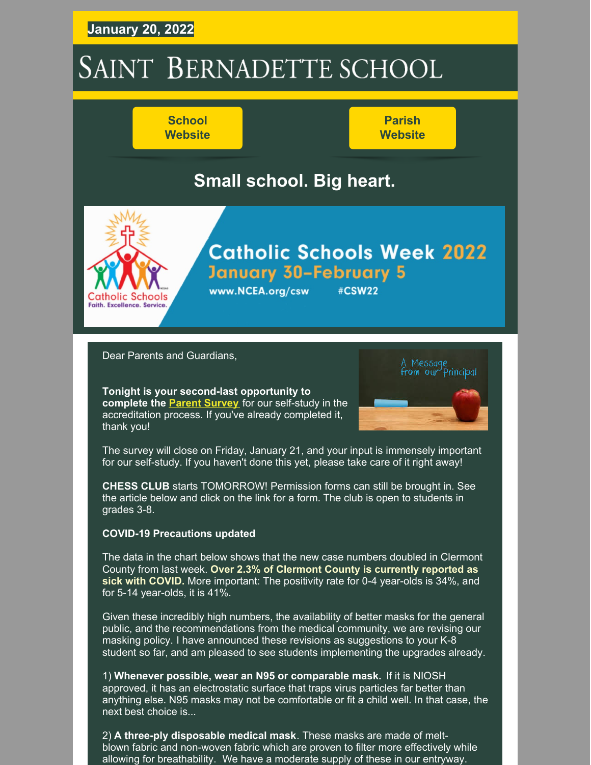## **January 20, 2022**

# SAINT BERNADETTE SCHOOL

www.NCEA.org/csw

## **School [Website](https://stbameliaschool.org/)**

**Parish [Website](https://stbameliaparish.org/)**

## **Small school. Big heart.**



## **Catholic Schools Week 2022 January 30-February 5**

#CSW22

Dear Parents and Guardians,

**Tonight is your second-last opportunity to complete the Parent [Survey](https://www.surveymonkey.com/r/DGTKZN8)** for our self-study in the accreditation process. If you've already completed it, thank you!



The survey will close on Friday, January 21, and your input is immensely important for our self-study. If you haven't done this yet, please take care of it right away!

**CHESS CLUB** starts TOMORROW! Permission forms can still be brought in. See the article below and click on the link for a form. The club is open to students in grades 3-8.

#### **COVID-19 Precautions updated**

The data in the chart below shows that the new case numbers doubled in Clermont County from last week. **Over 2.3% of Clermont County is currently reported as sick with COVID.** More important: The positivity rate for 0-4 year-olds is 34%, and for 5-14 year-olds, it is 41%.

Given these incredibly high numbers, the availability of better masks for the general public, and the recommendations from the medical community, we are revising our masking policy. I have announced these revisions as suggestions to your K-8 student so far, and am pleased to see students implementing the upgrades already.

1) **Whenever possible, wear an N95 or comparable mask.** If it is NIOSH approved, it has an electrostatic surface that traps virus particles far better than anything else. N95 masks may not be comfortable or fit a child well. In that case, the next best choice is...

2) **A three-ply disposable medical mask**. These masks are made of meltblown fabric and non-woven fabric which are proven to filter more effectively while allowing for breathability. We have a moderate supply of these in our entryway.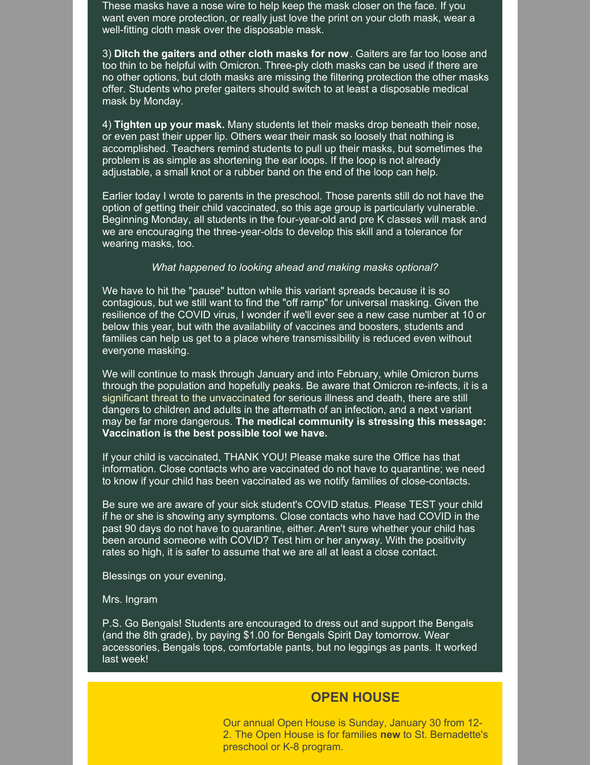These masks have a nose wire to help keep the mask closer on the face. If you want even more protection, or really just love the print on your cloth mask, wear a well-fitting cloth mask over the disposable mask.

3) **Ditch the gaiters and other cloth masks for now**. Gaiters are far too loose and too thin to be helpful with Omicron. Three-ply cloth masks can be used if there are no other options, but cloth masks are missing the filtering protection the other masks offer. Students who prefer gaiters should switch to at least a disposable medical mask by Monday.

4) **Tighten up your mask.** Many students let their masks drop beneath their nose, or even past their upper lip. Others wear their mask so loosely that nothing is accomplished. Teachers remind students to pull up their masks, but sometimes the problem is as simple as shortening the ear loops. If the loop is not already adjustable, a small knot or a rubber band on the end of the loop can help.

Earlier today I wrote to parents in the preschool. Those parents still do not have the option of getting their child vaccinated, so this age group is particularly vulnerable. Beginning Monday, all students in the four-year-old and pre K classes will mask and we are encouraging the three-year-olds to develop this skill and a tolerance for wearing masks, too.

#### *What happened to looking ahead and making masks optional?*

We have to hit the "pause" button while this variant spreads because it is so contagious, but we still want to find the "off ramp" for universal masking. Given the resilience of the COVID virus, I wonder if we'll ever see a new case number at 10 or below this year, but with the availability of vaccines and boosters, students and families can help us get to a place where transmissibility is reduced even without everyone masking.

We will continue to mask through January and into February, while Omicron burns through the population and hopefully peaks. Be aware that Omicron re-infects, it is a significant threat to the unvaccinated for serious illness and death, there are still dangers to children and adults in the aftermath of an infection, and a next variant may be far more dangerous. **The medical community is stressing this message: Vaccination is the best possible tool we have.**

If your child is vaccinated, THANK YOU! Please make sure the Office has that information. Close contacts who are vaccinated do not have to quarantine; we need to know if your child has been vaccinated as we notify families of close-contacts.

Be sure we are aware of your sick student's COVID status. Please TEST your child if he or she is showing any symptoms. Close contacts who have had COVID in the past 90 days do not have to quarantine, either. Aren't sure whether your child has been around someone with COVID? Test him or her anyway. With the positivity rates so high, it is safer to assume that we are all at least a close contact.

Blessings on your evening,

Mrs. Ingram

P.S. Go Bengals! Students are encouraged to dress out and support the Bengals (and the 8th grade), by paying \$1.00 for Bengals Spirit Day tomorrow. Wear accessories, Bengals tops, comfortable pants, but no leggings as pants. It worked last week!

### **OPEN HOUSE**

Our annual Open House is Sunday, January 30 from 12- 2. The Open House is for families **new** to St. Bernadette's preschool or K-8 program.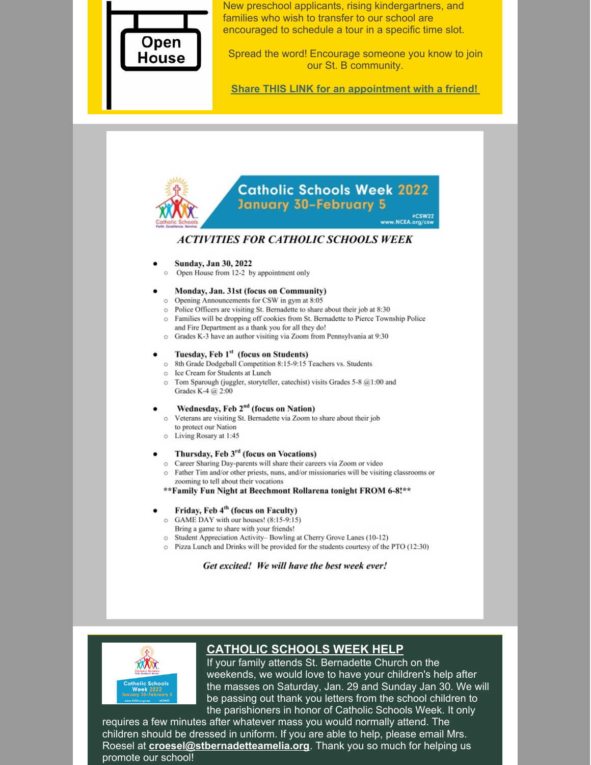

New preschool applicants, rising kindergartners, and families who wish to transfer to our school are encouraged to schedule a tour in a specific time slot.

Spread the word! Encourage someone you know to join our St. B community.

**Share THIS LINK for an [appointment](https://www.signupgenius.com/index.cfm?go=w.manageSignUp#/28184121/settings/) with a friend!**





### **CATHOLIC SCHOOLS WEEK HELP**

If your family attends St. Bernadette Church on the weekends, we would love to have your children's help after the masses on Saturday, Jan. 29 and Sunday Jan 30. We will be passing out thank you letters from the school children to the parishioners in honor of Catholic Schools Week. It only

requires a few minutes after whatever mass you would normally attend. The children should be dressed in uniform. If you are able to help, please email Mrs. Roesel at **[croesel@stbernadetteamelia.org](mailto:croesel@stbernadetteamelia.org)**. Thank you so much for helping us promote our school!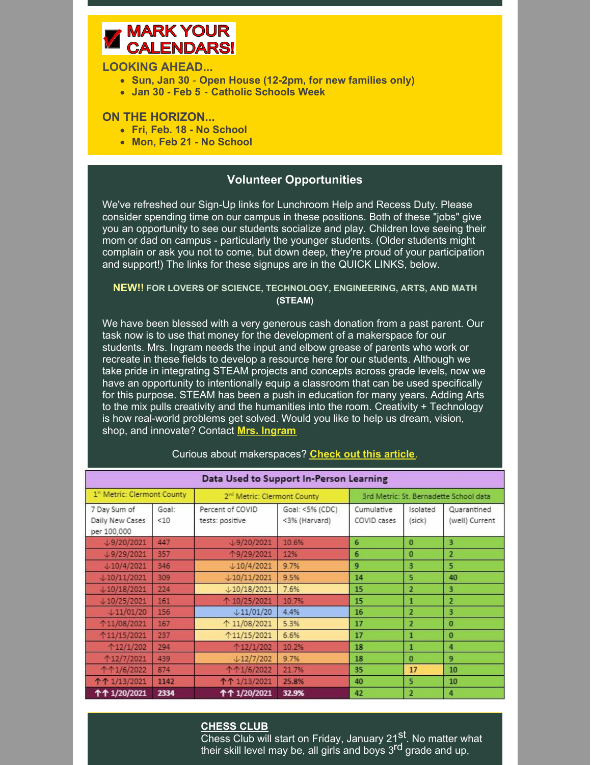## **MARK YOUR CALENDARS!**

#### **LOOKING AHEAD...**

- **Sun, Jan 30 Open House (12-2pm, for new families only)**
- **Jan 30 - Feb 5 Catholic Schools Week**

#### **ON THE HORIZON...**

- **Fri, Feb. 18 - No School**
- **Mon, Feb 21 - No School**

#### **Volunteer Opportunities**

We've refreshed our Sign-Up links for Lunchroom Help and Recess Duty. Please consider spending time on our campus in these positions. Both of these "jobs" give you an opportunity to see our students socialize and play. Children love seeing their mom or dad on campus - particularly the younger students. (Older students might complain or ask you not to come, but down deep, they're proud of your participation and support!) The links for these signups are in the QUICK LINKS, below.

#### **NEW!! FOR LOVERS OF SCIENCE, TECHNOLOGY, ENGINEERING, ARTS, AND MATH (STEAM)**

We have been blessed with a very generous cash donation from a past parent. Our task now is to use that money for the development of a makerspace for our students. Mrs. Ingram needs the input and elbow grease of parents who work or recreate in these fields to develop a resource here for our students. Although we take pride in integrating STEAM projects and concepts across grade levels, now we have an opportunity to intentionally equip a classroom that can be used specifically for this purpose. STEAM has been a push in education for many years. Adding Arts to the mix pulls creativity and the humanities into the room. Creativity + Technology is how real-world problems get solved. Would you like to help us dream, vision, shop, and innovate? Contact **Mrs. [Ingram](mailto:lingram@stbernadetteamelia.org)**.

| Data Used to Support In-Person Learning        |              |                                         |                                  |                                        |                           |                               |
|------------------------------------------------|--------------|-----------------------------------------|----------------------------------|----------------------------------------|---------------------------|-------------------------------|
| 1 <sup>st</sup> Metric: Clermont County        |              | 2 <sup>nd</sup> Metric: Clermont County |                                  | 3rd Metric: St. Bernadette School data |                           |                               |
| 7 Day Sum of<br>Daily New Cases<br>per 100,000 | Goal:<br><10 | Percent of COVID<br>tests: positive     | Goal: <5% (CDC)<br><3% (Harvard) | <b>Cumulative</b><br>COVID cases       | <b>Isolated</b><br>(sick) | Quarantined<br>(well) Current |
| $\downarrow$ 9/20/2021                         | 447          | $\downarrow$ 9/20/2021                  | 10.6%                            | 6                                      | $\Omega$                  | 3                             |
| J9/29/2021                                     | 357          | 个9/29/2021                              | 12%                              | 6                                      | $\bf{0}$                  | $\overline{2}$                |
| $\frac{10}{42021}$                             | 346          | $\downarrow$ 10/4/2021                  | 9.7%                             | $\mathbf{q}$                           | з                         | 5                             |
| $\downarrow$ 10/11/2021                        | 309          | $+10/11/2021$                           | 9.5%                             | 14                                     | 5                         | 40                            |
| $+10/18/2021$                                  | 224          | $\downarrow$ 10/18/2021                 | 7.6%                             | 15                                     | $\overline{2}$            | 3                             |
| $+10/25/2021$                                  | 161          | 个 10/25/2021                            | 10.7%                            | 15                                     | 1                         | 2                             |
| $+11/01/20$                                    | 156          | $+11/01/20$                             | 4.4%                             | 16                                     | $\overline{2}$            | 3                             |
| ↑11/08/2021                                    | 167          | ↑ 11/08/2021                            | 5.3%                             | 17                                     | $\overline{a}$            | $\bf{0}$                      |
| ↑11/15/2021                                    | 237          | 11/15/2021                              | 6.6%                             | 17                                     | 1                         | $\bf{0}$                      |
| 12/1/202                                       | 294          | ↑12/1/202                               | 10.2%                            | 18                                     | 1                         | 4                             |
| ↑12/7/2021                                     | 439          | $+12/7/202$                             | 9.7%                             | 18                                     | $\bf{0}$                  | 9                             |
| 个个1/6/2022                                     | 874          | 个个1/6/2022                              | 21.7%                            | 35                                     | 17                        | 10                            |
| 个个 1/13/2021                                   | 1142         | 个个 1/13/2021                            | 25.8%                            | 40                                     | 5                         | 10                            |
| ተተ 1/20/2021                                   | 2334         | ተተ 1/20/2021                            | 32.9%                            | 42                                     | $\overline{2}$            | 4                             |

#### Curious about makerspaces? **[Check](https://www.invent.org/blog/trends-stem/benefits-makerspace) out this article**.

#### **CHESS CLUB**

<u>Chess Club will start on Friday, January 21<sup>st</sup>. No matter what</u> their skill level may be, all girls and boys 3<sup>rd</sup> grade and up,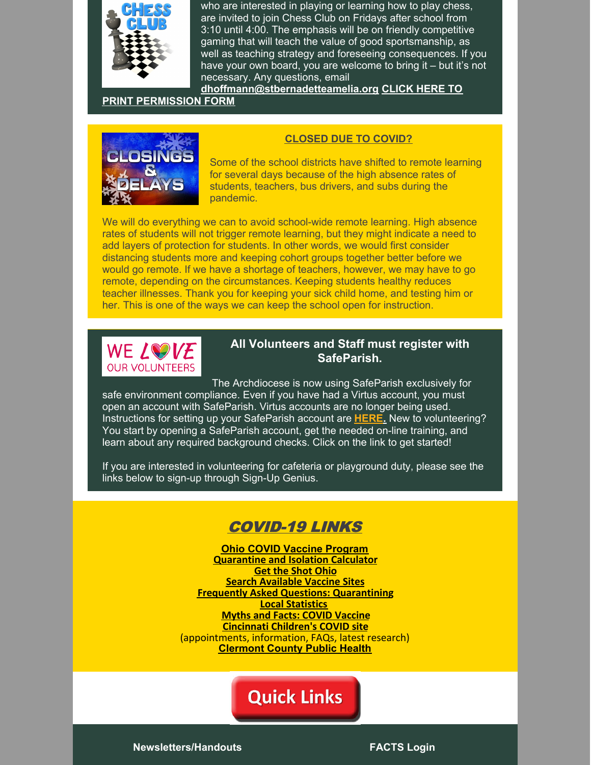

who are interested in playing or learning how to play chess, are invited to join Chess Club on Fridays after school from 3:10 until 4:00. The emphasis will be on friendly competitive gaming that will teach the value of good sportsmanship, as well as teaching strategy and foreseeing consequences. If you have your own board, you are welcome to bring it – but it's not necessary. Any questions, email

**[dhoffmann@stbernadetteamelia.org](https://files.constantcontact.com/9ac56f1f601/afa45a39-8892-4706-8709-ca1701d96fea.pdf?rdr=true) CLICK HERE TO**

#### **PRINT PERMISSION FORM**



#### **CLOSED DUE TO COVID?**

Some of the school districts have shifted to remote learning for several days because of the high absence rates of students, teachers, bus drivers, and subs during the pandemic.

We will do everything we can to avoid school-wide remote learning. High absence rates of students will not trigger remote learning, but they might indicate a need to add layers of protection for students. In other words, we would first consider distancing students more and keeping cohort groups together better before we would go remote. If we have a shortage of teachers, however, we may have to go remote, depending on the circumstances. Keeping students healthy reduces teacher illnesses. Thank you for keeping your sick child home, and testing him or her. This is one of the ways we can keep the school open for instruction.



#### **All Volunteers and Staff must register with SafeParish.**

The Archdiocese is now using SafeParish exclusively for safe environment compliance. Even if you have had a Virtus account, you must open an account with SafeParish. Virtus accounts are no longer being used. Instructions for setting up your SafeParish account are **[HERE.](https://www.stbameliaparish.org/safeparish)** New to volunteering? You start by opening a SafeParish account, get the needed on-line training, and learn about any required background checks. Click on the link to get started!

If you are interested in volunteering for cafeteria or playground duty, please see the links below to sign-up through Sign-Up Genius.

## COVID-19 LINKS

**Ohio COVID Vaccine [Program](https://coronavirus.ohio.gov/wps/portal/gov/covid-19/covid-19-vaccination-program) [Quarantine](https://doh.sd.gov/COVID/Calculator/default.aspx) and Isolation Calculator Get the Shot [Ohio](https://gettheshot.coronavirus.ohio.gov/) Search [Available](https://www.solvhealth.com/oh/c/batavia-oh-srv-covid-testing) Vaccine Sites Frequently Asked Questions: [Quarantining](https://coronavirus.ohio.gov/static/docs/COVID-19-Quarantine-FAQs.pdf) Local [Statistics](https://www.nytimes.com/interactive/2021/us/clermont-ohio-covid-cases.html) Myths and Facts: COVID [Vaccine](https://www.cdc.gov/coronavirus/2019-ncov/vaccines/facts.html) [Cincinnati](https://www.cincinnatichildrens.org/patients/coronavirus-information/vaccines/schedule) Children's COVID site** (appointments, information, FAQs, latest research) **[Clermont](https://ccphohio.org/covid-19-vaccine-info/) County Public Health**

## **Quick Links**

**[Newsletters/Handouts](http://stbameliaschool.org/About-Us/Principals-Notes-and-Handouts) [FACTS](https://online.factsmgt.com/signin/3XC6B) Login**